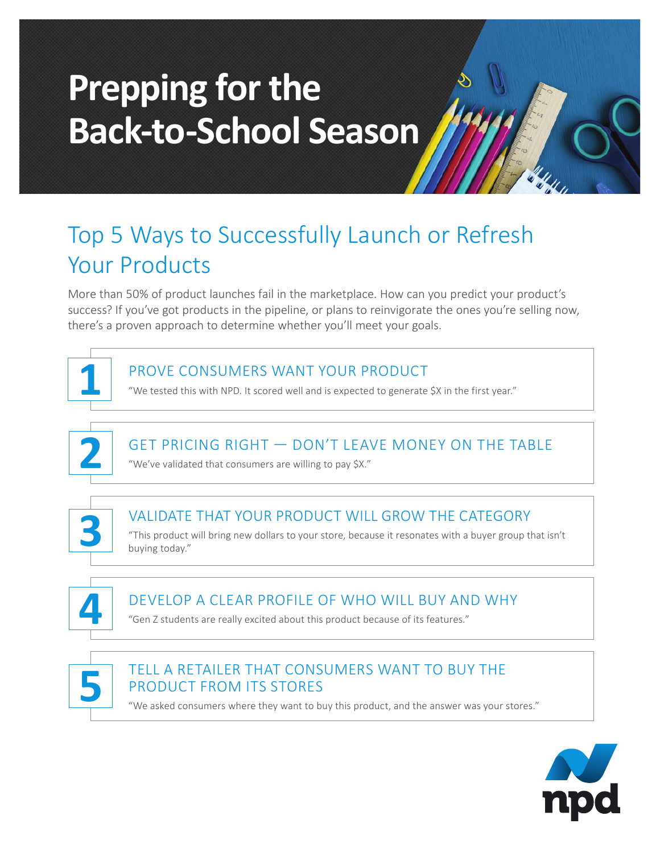# **Prepping for the Back-to-School Season**

# Top 5 Ways to Successfully Launch or Refresh Your Products

More than 50% of product launches fail in the marketplace. How can you predict your product's success? If you've got products in the pipeline, or plans to reinvigorate the ones you're selling now, there's a proven approach to determine whether you'll meet your goals.





## TELL A RETAILER THAT CONSUMERS WANT TO BUY THE PRODUCT FROM ITS STORES **5**

"We asked consumers where they want to buy this product, and the answer was your stores."